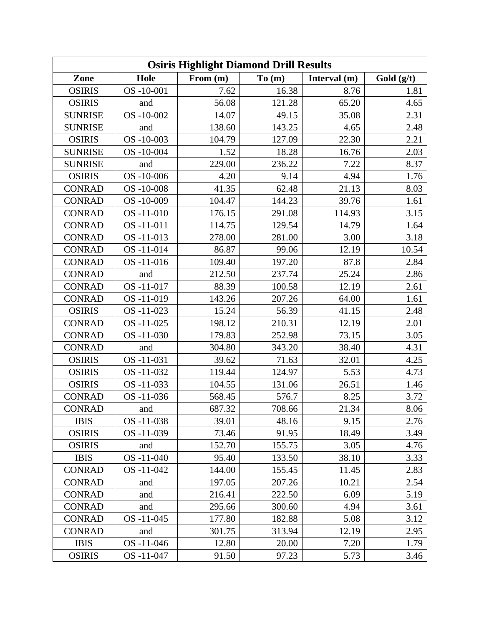| <b>Osiris Highlight Diamond Drill Results</b> |           |            |        |              |            |
|-----------------------------------------------|-----------|------------|--------|--------------|------------|
| Zone                                          | Hole      | From $(m)$ | To(m)  | Interval (m) | Gold (g/t) |
| <b>OSIRIS</b>                                 | OS-10-001 | 7.62       | 16.38  | 8.76         | 1.81       |
| <b>OSIRIS</b>                                 | and       | 56.08      | 121.28 | 65.20        | 4.65       |
| <b>SUNRISE</b>                                | OS-10-002 | 14.07      | 49.15  | 35.08        | 2.31       |
| <b>SUNRISE</b>                                | and       | 138.60     | 143.25 | 4.65         | 2.48       |
| <b>OSIRIS</b>                                 | OS-10-003 | 104.79     | 127.09 | 22.30        | 2.21       |
| <b>SUNRISE</b>                                | OS-10-004 | 1.52       | 18.28  | 16.76        | 2.03       |
| <b>SUNRISE</b>                                | and       | 229.00     | 236.22 | 7.22         | 8.37       |
| <b>OSIRIS</b>                                 | OS-10-006 | 4.20       | 9.14   | 4.94         | 1.76       |
| <b>CONRAD</b>                                 | OS-10-008 | 41.35      | 62.48  | 21.13        | 8.03       |
| <b>CONRAD</b>                                 | OS-10-009 | 104.47     | 144.23 | 39.76        | 1.61       |
| <b>CONRAD</b>                                 | OS-11-010 | 176.15     | 291.08 | 114.93       | 3.15       |
| <b>CONRAD</b>                                 | OS-11-011 | 114.75     | 129.54 | 14.79        | 1.64       |
| <b>CONRAD</b>                                 | OS-11-013 | 278.00     | 281.00 | 3.00         | 3.18       |
| <b>CONRAD</b>                                 | OS-11-014 | 86.87      | 99.06  | 12.19        | 10.54      |
| <b>CONRAD</b>                                 | OS-11-016 | 109.40     | 197.20 | 87.8         | 2.84       |
| <b>CONRAD</b>                                 | and       | 212.50     | 237.74 | 25.24        | 2.86       |
| <b>CONRAD</b>                                 | OS-11-017 | 88.39      | 100.58 | 12.19        | 2.61       |
| <b>CONRAD</b>                                 | OS-11-019 | 143.26     | 207.26 | 64.00        | 1.61       |
| <b>OSIRIS</b>                                 | OS-11-023 | 15.24      | 56.39  | 41.15        | 2.48       |
| <b>CONRAD</b>                                 | OS-11-025 | 198.12     | 210.31 | 12.19        | 2.01       |
| <b>CONRAD</b>                                 | OS-11-030 | 179.83     | 252.98 | 73.15        | 3.05       |
| <b>CONRAD</b>                                 | and       | 304.80     | 343.20 | 38.40        | 4.31       |
| <b>OSIRIS</b>                                 | OS-11-031 | 39.62      | 71.63  | 32.01        | 4.25       |
| <b>OSIRIS</b>                                 | OS-11-032 | 119.44     | 124.97 | 5.53         | 4.73       |
| <b>OSIRIS</b>                                 | OS-11-033 | 104.55     | 131.06 | 26.51        | 1.46       |
| <b>CONRAD</b>                                 | OS-11-036 | 568.45     | 576.7  | 8.25         | 3.72       |
| <b>CONRAD</b>                                 | and       | 687.32     | 708.66 | 21.34        | 8.06       |
| <b>IBIS</b>                                   | OS-11-038 | 39.01      | 48.16  | 9.15         | 2.76       |
| <b>OSIRIS</b>                                 | OS-11-039 | 73.46      | 91.95  | 18.49        | 3.49       |
| <b>OSIRIS</b>                                 | and       | 152.70     | 155.75 | 3.05         | 4.76       |
| <b>IBIS</b>                                   | OS-11-040 | 95.40      | 133.50 | 38.10        | 3.33       |
| <b>CONRAD</b>                                 | OS-11-042 | 144.00     | 155.45 | 11.45        | 2.83       |
| <b>CONRAD</b>                                 | and       | 197.05     | 207.26 | 10.21        | 2.54       |
| <b>CONRAD</b>                                 | and       | 216.41     | 222.50 | 6.09         | 5.19       |
| <b>CONRAD</b>                                 | and       | 295.66     | 300.60 | 4.94         | 3.61       |
| <b>CONRAD</b>                                 | OS-11-045 | 177.80     | 182.88 | 5.08         | 3.12       |
| <b>CONRAD</b>                                 | and       | 301.75     | 313.94 | 12.19        | 2.95       |
| <b>IBIS</b>                                   | OS-11-046 | 12.80      | 20.00  | 7.20         | 1.79       |
| <b>OSIRIS</b>                                 | OS-11-047 | 91.50      | 97.23  | 5.73         | 3.46       |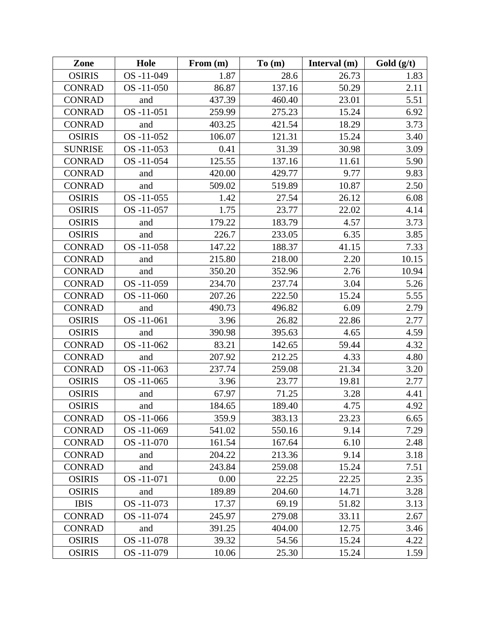| Zone           | Hole       | From $(m)$ | To(m)  | Interval (m) | Gold (g/t) |
|----------------|------------|------------|--------|--------------|------------|
| <b>OSIRIS</b>  | OS-11-049  | 1.87       | 28.6   | 26.73        | 1.83       |
| <b>CONRAD</b>  | OS-11-050  | 86.87      | 137.16 | 50.29        | 2.11       |
| <b>CONRAD</b>  | and        | 437.39     | 460.40 | 23.01        | 5.51       |
| <b>CONRAD</b>  | OS-11-051  | 259.99     | 275.23 | 15.24        | 6.92       |
| <b>CONRAD</b>  | and        | 403.25     | 421.54 | 18.29        | 3.73       |
| <b>OSIRIS</b>  | OS-11-052  | 106.07     | 121.31 | 15.24        | 3.40       |
| <b>SUNRISE</b> | OS-11-053  | 0.41       | 31.39  | 30.98        | 3.09       |
| <b>CONRAD</b>  | OS-11-054  | 125.55     | 137.16 | 11.61        | 5.90       |
| <b>CONRAD</b>  | and        | 420.00     | 429.77 | 9.77         | 9.83       |
| <b>CONRAD</b>  | and        | 509.02     | 519.89 | 10.87        | 2.50       |
| <b>OSIRIS</b>  | OS-11-055  | 1.42       | 27.54  | 26.12        | 6.08       |
| <b>OSIRIS</b>  | OS -11-057 | 1.75       | 23.77  | 22.02        | 4.14       |
| <b>OSIRIS</b>  | and        | 179.22     | 183.79 | 4.57         | 3.73       |
| <b>OSIRIS</b>  | and        | 226.7      | 233.05 | 6.35         | 3.85       |
| <b>CONRAD</b>  | OS-11-058  | 147.22     | 188.37 | 41.15        | 7.33       |
| <b>CONRAD</b>  | and        | 215.80     | 218.00 | 2.20         | 10.15      |
| <b>CONRAD</b>  | and        | 350.20     | 352.96 | 2.76         | 10.94      |
| <b>CONRAD</b>  | OS-11-059  | 234.70     | 237.74 | 3.04         | 5.26       |
| <b>CONRAD</b>  | OS-11-060  | 207.26     | 222.50 | 15.24        | 5.55       |
| <b>CONRAD</b>  | and        | 490.73     | 496.82 | 6.09         | 2.79       |
| <b>OSIRIS</b>  | OS-11-061  | 3.96       | 26.82  | 22.86        | 2.77       |
| <b>OSIRIS</b>  | and        | 390.98     | 395.63 | 4.65         | 4.59       |
| <b>CONRAD</b>  | OS-11-062  | 83.21      | 142.65 | 59.44        | 4.32       |
| <b>CONRAD</b>  | and        | 207.92     | 212.25 | 4.33         | 4.80       |
| <b>CONRAD</b>  | OS-11-063  | 237.74     | 259.08 | 21.34        | 3.20       |
| <b>OSIRIS</b>  | OS-11-065  | 3.96       | 23.77  | 19.81        | 2.77       |
| <b>OSIRIS</b>  | and        | 67.97      | 71.25  | 3.28         | 4.41       |
| <b>OSIRIS</b>  | and        | 184.65     | 189.40 | 4.75         | 4.92       |
| <b>CONRAD</b>  | OS-11-066  | 359.9      | 383.13 | 23.23        | 6.65       |
| <b>CONRAD</b>  | OS-11-069  | 541.02     | 550.16 | 9.14         | 7.29       |
| <b>CONRAD</b>  | OS-11-070  | 161.54     | 167.64 | 6.10         | 2.48       |
| <b>CONRAD</b>  | and        | 204.22     | 213.36 | 9.14         | 3.18       |
| <b>CONRAD</b>  | and        | 243.84     | 259.08 | 15.24        | 7.51       |
| <b>OSIRIS</b>  | OS-11-071  | 0.00       | 22.25  | 22.25        | 2.35       |
| <b>OSIRIS</b>  | and        | 189.89     | 204.60 | 14.71        | 3.28       |
| <b>IBIS</b>    | OS-11-073  | 17.37      | 69.19  | 51.82        | 3.13       |
| <b>CONRAD</b>  | OS-11-074  | 245.97     | 279.08 | 33.11        | 2.67       |
| <b>CONRAD</b>  | and        | 391.25     | 404.00 | 12.75        | 3.46       |
| <b>OSIRIS</b>  | OS-11-078  | 39.32      | 54.56  | 15.24        | 4.22       |
| <b>OSIRIS</b>  | OS-11-079  | 10.06      | 25.30  | 15.24        | 1.59       |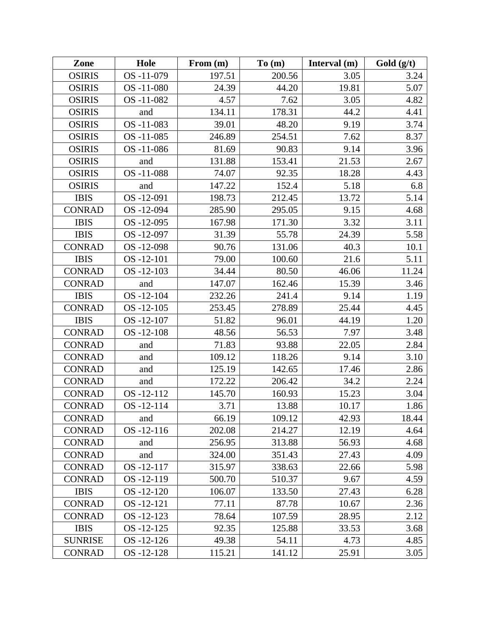| Zone           | Hole            | From $(m)$ | To(m)  | Interval $(m)$ | Gold $(g/t)$ |
|----------------|-----------------|------------|--------|----------------|--------------|
| <b>OSIRIS</b>  | OS-11-079       | 197.51     | 200.56 | 3.05           | 3.24         |
| <b>OSIRIS</b>  | OS-11-080       | 24.39      | 44.20  | 19.81          | 5.07         |
| <b>OSIRIS</b>  | OS-11-082       | 4.57       | 7.62   | 3.05           | 4.82         |
| <b>OSIRIS</b>  | and             | 134.11     | 178.31 | 44.2           | 4.41         |
| <b>OSIRIS</b>  | OS-11-083       | 39.01      | 48.20  | 9.19           | 3.74         |
| <b>OSIRIS</b>  | OS-11-085       | 246.89     | 254.51 | 7.62           | 8.37         |
| <b>OSIRIS</b>  | OS-11-086       | 81.69      | 90.83  | 9.14           | 3.96         |
| <b>OSIRIS</b>  | and             | 131.88     | 153.41 | 21.53          | 2.67         |
| <b>OSIRIS</b>  | OS-11-088       | 74.07      | 92.35  | 18.28          | 4.43         |
| <b>OSIRIS</b>  | and             | 147.22     | 152.4  | 5.18           | 6.8          |
| <b>IBIS</b>    | OS-12-091       | 198.73     | 212.45 | 13.72          | 5.14         |
| <b>CONRAD</b>  | OS -12-094      | 285.90     | 295.05 | 9.15           | 4.68         |
| <b>IBIS</b>    | OS-12-095       | 167.98     | 171.30 | 3.32           | 3.11         |
| <b>IBIS</b>    | OS-12-097       | 31.39      | 55.78  | 24.39          | 5.58         |
| <b>CONRAD</b>  | OS -12-098      | 90.76      | 131.06 | 40.3           | 10.1         |
| <b>IBIS</b>    | OS-12-101       | 79.00      | 100.60 | 21.6           | 5.11         |
| <b>CONRAD</b>  | $OS - 12 - 103$ | 34.44      | 80.50  | 46.06          | 11.24        |
| <b>CONRAD</b>  | and             | 147.07     | 162.46 | 15.39          | 3.46         |
| <b>IBIS</b>    | OS-12-104       | 232.26     | 241.4  | 9.14           | 1.19         |
| <b>CONRAD</b>  | $OS - 12 - 105$ | 253.45     | 278.89 | 25.44          | 4.45         |
| <b>IBIS</b>    | OS-12-107       | 51.82      | 96.01  | 44.19          | 1.20         |
| <b>CONRAD</b>  | OS-12-108       | 48.56      | 56.53  | 7.97           | 3.48         |
| <b>CONRAD</b>  | and             | 71.83      | 93.88  | 22.05          | 2.84         |
| <b>CONRAD</b>  | and             | 109.12     | 118.26 | 9.14           | 3.10         |
| <b>CONRAD</b>  | and             | 125.19     | 142.65 | 17.46          | 2.86         |
| <b>CONRAD</b>  | and             | 172.22     | 206.42 | 34.2           | 2.24         |
| <b>CONRAD</b>  | OS-12-112       | 145.70     | 160.93 | 15.23          | 3.04         |
| <b>CONRAD</b>  | OS-12-114       | 3.71       | 13.88  | 10.17          | 1.86         |
| <b>CONRAD</b>  | and             | 66.19      | 109.12 | 42.93          | 18.44        |
| <b>CONRAD</b>  | OS-12-116       | 202.08     | 214.27 | 12.19          | 4.64         |
| <b>CONRAD</b>  | and             | 256.95     | 313.88 | 56.93          | 4.68         |
| <b>CONRAD</b>  | and             | 324.00     | 351.43 | 27.43          | 4.09         |
| <b>CONRAD</b>  | OS-12-117       | 315.97     | 338.63 | 22.66          | 5.98         |
| <b>CONRAD</b>  | OS -12-119      | 500.70     | 510.37 | 9.67           | 4.59         |
| <b>IBIS</b>    | OS-12-120       | 106.07     | 133.50 | 27.43          | 6.28         |
| <b>CONRAD</b>  | OS-12-121       | 77.11      | 87.78  | 10.67          | 2.36         |
| <b>CONRAD</b>  | OS-12-123       | 78.64      | 107.59 | 28.95          | 2.12         |
| <b>IBIS</b>    | OS -12-125      | 92.35      | 125.88 | 33.53          | 3.68         |
| <b>SUNRISE</b> | OS -12-126      | 49.38      | 54.11  | 4.73           | 4.85         |
| <b>CONRAD</b>  | OS-12-128       | 115.21     | 141.12 | 25.91          | 3.05         |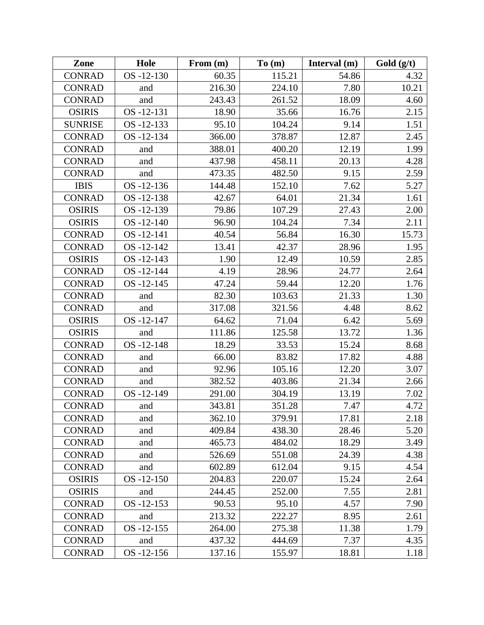| Zone           | Hole            | From $(m)$ | To(m)  | Interval $(m)$ | Gold (g/t) |
|----------------|-----------------|------------|--------|----------------|------------|
| <b>CONRAD</b>  | OS-12-130       | 60.35      | 115.21 | 54.86          | 4.32       |
| <b>CONRAD</b>  | and             | 216.30     | 224.10 | 7.80           | 10.21      |
| <b>CONRAD</b>  | and             | 243.43     | 261.52 | 18.09          | 4.60       |
| <b>OSIRIS</b>  | OS-12-131       | 18.90      | 35.66  | 16.76          | 2.15       |
| <b>SUNRISE</b> | OS-12-133       | 95.10      | 104.24 | 9.14           | 1.51       |
| <b>CONRAD</b>  | OS-12-134       | 366.00     | 378.87 | 12.87          | 2.45       |
| <b>CONRAD</b>  | and             | 388.01     | 400.20 | 12.19          | 1.99       |
| <b>CONRAD</b>  | and             | 437.98     | 458.11 | 20.13          | 4.28       |
| <b>CONRAD</b>  | and             | 473.35     | 482.50 | 9.15           | 2.59       |
| <b>IBIS</b>    | OS-12-136       | 144.48     | 152.10 | 7.62           | 5.27       |
| <b>CONRAD</b>  | OS-12-138       | 42.67      | 64.01  | 21.34          | 1.61       |
| <b>OSIRIS</b>  | OS-12-139       | 79.86      | 107.29 | 27.43          | 2.00       |
| <b>OSIRIS</b>  | OS-12-140       | 96.90      | 104.24 | 7.34           | 2.11       |
| <b>CONRAD</b>  | OS-12-141       | 40.54      | 56.84  | 16.30          | 15.73      |
| <b>CONRAD</b>  | OS-12-142       | 13.41      | 42.37  | 28.96          | 1.95       |
| <b>OSIRIS</b>  | OS-12-143       | 1.90       | 12.49  | 10.59          | 2.85       |
| <b>CONRAD</b>  | OS -12-144      | 4.19       | 28.96  | 24.77          | 2.64       |
| <b>CONRAD</b>  | OS-12-145       | 47.24      | 59.44  | 12.20          | 1.76       |
| <b>CONRAD</b>  | and             | 82.30      | 103.63 | 21.33          | 1.30       |
| <b>CONRAD</b>  | and             | 317.08     | 321.56 | 4.48           | 8.62       |
| <b>OSIRIS</b>  | OS-12-147       | 64.62      | 71.04  | 6.42           | 5.69       |
| <b>OSIRIS</b>  | and             | 111.86     | 125.58 | 13.72          | 1.36       |
| <b>CONRAD</b>  | OS-12-148       | 18.29      | 33.53  | 15.24          | 8.68       |
| <b>CONRAD</b>  | and             | 66.00      | 83.82  | 17.82          | 4.88       |
| <b>CONRAD</b>  | and             | 92.96      | 105.16 | 12.20          | 3.07       |
| <b>CONRAD</b>  | and             | 382.52     | 403.86 | 21.34          | 2.66       |
| <b>CONRAD</b>  | OS-12-149       | 291.00     | 304.19 | 13.19          | 7.02       |
| <b>CONRAD</b>  | and             | 343.81     | 351.28 | 7.47           | 4.72       |
| <b>CONRAD</b>  | and             | 362.10     | 379.91 | 17.81          | 2.18       |
| <b>CONRAD</b>  | and             | 409.84     | 438.30 | 28.46          | 5.20       |
| <b>CONRAD</b>  | and             | 465.73     | 484.02 | 18.29          | 3.49       |
| <b>CONRAD</b>  | and             | 526.69     | 551.08 | 24.39          | 4.38       |
| <b>CONRAD</b>  | and             | 602.89     | 612.04 | 9.15           | 4.54       |
| <b>OSIRIS</b>  | $OS - 12 - 150$ | 204.83     | 220.07 | 15.24          | 2.64       |
| <b>OSIRIS</b>  | and             | 244.45     | 252.00 | 7.55           | 2.81       |
| <b>CONRAD</b>  | OS-12-153       | 90.53      | 95.10  | 4.57           | 7.90       |
| <b>CONRAD</b>  | and             | 213.32     | 222.27 | 8.95           | 2.61       |
| <b>CONRAD</b>  | OS-12-155       | 264.00     | 275.38 | 11.38          | 1.79       |
| <b>CONRAD</b>  | and             | 437.32     | 444.69 | 7.37           | 4.35       |
| <b>CONRAD</b>  | OS-12-156       | 137.16     | 155.97 | 18.81          | 1.18       |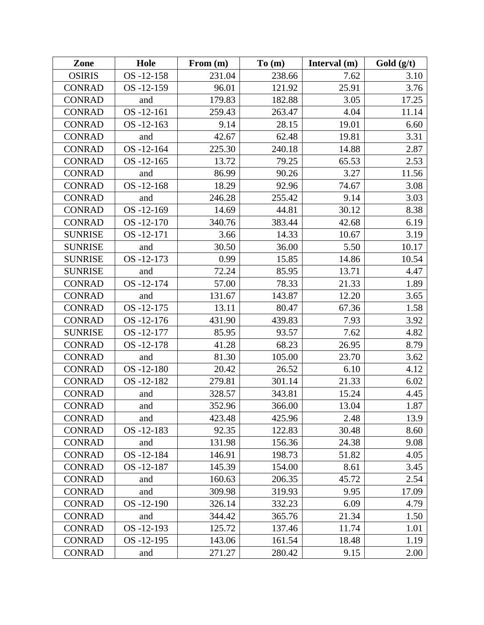| Zone           | Hole            | From $(m)$ | To(m)  | Interval $(m)$ | Gold $(g/t)$ |
|----------------|-----------------|------------|--------|----------------|--------------|
| <b>OSIRIS</b>  | OS-12-158       | 231.04     | 238.66 | 7.62           | 3.10         |
| <b>CONRAD</b>  | OS-12-159       | 96.01      | 121.92 | 25.91          | 3.76         |
| <b>CONRAD</b>  | and             | 179.83     | 182.88 | 3.05           | 17.25        |
| <b>CONRAD</b>  | OS-12-161       | 259.43     | 263.47 | 4.04           | 11.14        |
| <b>CONRAD</b>  | $OS - 12 - 163$ | 9.14       | 28.15  | 19.01          | 6.60         |
| <b>CONRAD</b>  | and             | 42.67      | 62.48  | 19.81          | 3.31         |
| <b>CONRAD</b>  | OS-12-164       | 225.30     | 240.18 | 14.88          | 2.87         |
| <b>CONRAD</b>  | $OS - 12 - 165$ | 13.72      | 79.25  | 65.53          | 2.53         |
| <b>CONRAD</b>  | and             | 86.99      | 90.26  | 3.27           | 11.56        |
| <b>CONRAD</b>  | $OS - 12 - 168$ | 18.29      | 92.96  | 74.67          | 3.08         |
| <b>CONRAD</b>  | and             | 246.28     | 255.42 | 9.14           | 3.03         |
| <b>CONRAD</b>  | OS-12-169       | 14.69      | 44.81  | 30.12          | 8.38         |
| <b>CONRAD</b>  | OS-12-170       | 340.76     | 383.44 | 42.68          | 6.19         |
| <b>SUNRISE</b> | OS-12-171       | 3.66       | 14.33  | 10.67          | 3.19         |
| <b>SUNRISE</b> | and             | 30.50      | 36.00  | 5.50           | 10.17        |
| <b>SUNRISE</b> | OS-12-173       | 0.99       | 15.85  | 14.86          | 10.54        |
| <b>SUNRISE</b> | and             | 72.24      | 85.95  | 13.71          | 4.47         |
| <b>CONRAD</b>  | OS-12-174       | 57.00      | 78.33  | 21.33          | 1.89         |
| <b>CONRAD</b>  | and             | 131.67     | 143.87 | 12.20          | 3.65         |
| <b>CONRAD</b>  | OS-12-175       | 13.11      | 80.47  | 67.36          | 1.58         |
| <b>CONRAD</b>  | OS-12-176       | 431.90     | 439.83 | 7.93           | 3.92         |
| <b>SUNRISE</b> | OS-12-177       | 85.95      | 93.57  | 7.62           | 4.82         |
| <b>CONRAD</b>  | OS-12-178       | 41.28      | 68.23  | 26.95          | 8.79         |
| <b>CONRAD</b>  | and             | 81.30      | 105.00 | 23.70          | 3.62         |
| <b>CONRAD</b>  | OS-12-180       | 20.42      | 26.52  | 6.10           | 4.12         |
| <b>CONRAD</b>  | OS-12-182       | 279.81     | 301.14 | 21.33          | 6.02         |
| <b>CONRAD</b>  | and             | 328.57     | 343.81 | 15.24          | 4.45         |
| <b>CONRAD</b>  | and             | 352.96     | 366.00 | 13.04          | 1.87         |
| <b>CONRAD</b>  | and             | 423.48     | 425.96 | 2.48           | 13.9         |
| <b>CONRAD</b>  | OS-12-183       | 92.35      | 122.83 | 30.48          | 8.60         |
| <b>CONRAD</b>  | and             | 131.98     | 156.36 | 24.38          | 9.08         |
| <b>CONRAD</b>  | OS-12-184       | 146.91     | 198.73 | 51.82          | 4.05         |
| <b>CONRAD</b>  | OS-12-187       | 145.39     | 154.00 | 8.61           | 3.45         |
| <b>CONRAD</b>  | and             | 160.63     | 206.35 | 45.72          | 2.54         |
| <b>CONRAD</b>  | and             | 309.98     | 319.93 | 9.95           | 17.09        |
| <b>CONRAD</b>  | OS-12-190       | 326.14     | 332.23 | 6.09           | 4.79         |
| <b>CONRAD</b>  | and             | 344.42     | 365.76 | 21.34          | 1.50         |
| <b>CONRAD</b>  | OS-12-193       | 125.72     | 137.46 | 11.74          | 1.01         |
| <b>CONRAD</b>  | OS -12-195      | 143.06     | 161.54 | 18.48          | 1.19         |
| <b>CONRAD</b>  | and             | 271.27     | 280.42 | 9.15           | 2.00         |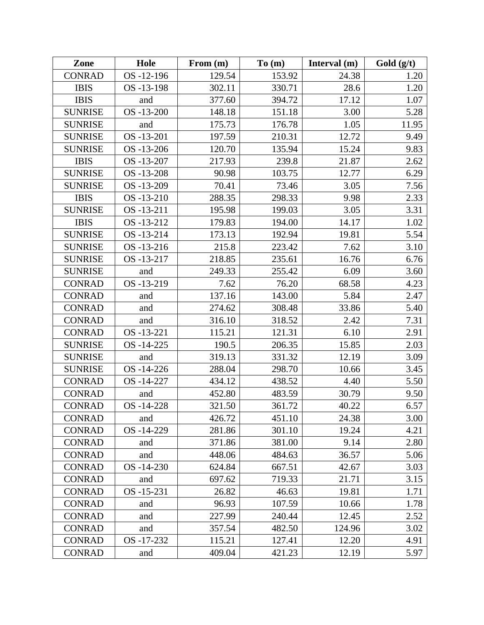| Zone           | Hole       | From $(m)$ | To(m)  | Interval $(m)$ | Gold $(g/t)$ |
|----------------|------------|------------|--------|----------------|--------------|
| <b>CONRAD</b>  | OS-12-196  | 129.54     | 153.92 | 24.38          | 1.20         |
| <b>IBIS</b>    | OS-13-198  | 302.11     | 330.71 | 28.6           | 1.20         |
| <b>IBIS</b>    | and        | 377.60     | 394.72 | 17.12          | 1.07         |
| <b>SUNRISE</b> | OS-13-200  | 148.18     | 151.18 | 3.00           | 5.28         |
| <b>SUNRISE</b> | and        | 175.73     | 176.78 | 1.05           | 11.95        |
| <b>SUNRISE</b> | OS-13-201  | 197.59     | 210.31 | 12.72          | 9.49         |
| <b>SUNRISE</b> | OS -13-206 | 120.70     | 135.94 | 15.24          | 9.83         |
| <b>IBIS</b>    | OS-13-207  | 217.93     | 239.8  | 21.87          | 2.62         |
| <b>SUNRISE</b> | OS-13-208  | 90.98      | 103.75 | 12.77          | 6.29         |
| <b>SUNRISE</b> | OS -13-209 | 70.41      | 73.46  | 3.05           | 7.56         |
| <b>IBIS</b>    | OS-13-210  | 288.35     | 298.33 | 9.98           | 2.33         |
| <b>SUNRISE</b> | OS-13-211  | 195.98     | 199.03 | 3.05           | 3.31         |
| <b>IBIS</b>    | OS-13-212  | 179.83     | 194.00 | 14.17          | 1.02         |
| <b>SUNRISE</b> | OS-13-214  | 173.13     | 192.94 | 19.81          | 5.54         |
| <b>SUNRISE</b> | OS-13-216  | 215.8      | 223.42 | 7.62           | 3.10         |
| <b>SUNRISE</b> | OS-13-217  | 218.85     | 235.61 | 16.76          | 6.76         |
| <b>SUNRISE</b> | and        | 249.33     | 255.42 | 6.09           | 3.60         |
| <b>CONRAD</b>  | OS-13-219  | 7.62       | 76.20  | 68.58          | 4.23         |
| <b>CONRAD</b>  | and        | 137.16     | 143.00 | 5.84           | 2.47         |
| <b>CONRAD</b>  | and        | 274.62     | 308.48 | 33.86          | 5.40         |
| <b>CONRAD</b>  | and        | 316.10     | 318.52 | 2.42           | 7.31         |
| <b>CONRAD</b>  | OS -13-221 | 115.21     | 121.31 | 6.10           | 2.91         |
| <b>SUNRISE</b> | OS-14-225  | 190.5      | 206.35 | 15.85          | 2.03         |
| <b>SUNRISE</b> | and        | 319.13     | 331.32 | 12.19          | 3.09         |
| <b>SUNRISE</b> | OS-14-226  | 288.04     | 298.70 | 10.66          | 3.45         |
| <b>CONRAD</b>  | OS-14-227  | 434.12     | 438.52 | 4.40           | 5.50         |
| <b>CONRAD</b>  | and        | 452.80     | 483.59 | 30.79          | 9.50         |
| <b>CONRAD</b>  | OS-14-228  | 321.50     | 361.72 | 40.22          | 6.57         |
| <b>CONRAD</b>  | and        | 426.72     | 451.10 | 24.38          | 3.00         |
| <b>CONRAD</b>  | OS-14-229  | 281.86     | 301.10 | 19.24          | 4.21         |
| <b>CONRAD</b>  | and        | 371.86     | 381.00 | 9.14           | 2.80         |
| <b>CONRAD</b>  | and        | 448.06     | 484.63 | 36.57          | 5.06         |
| <b>CONRAD</b>  | OS-14-230  | 624.84     | 667.51 | 42.67          | 3.03         |
| <b>CONRAD</b>  | and        | 697.62     | 719.33 | 21.71          | 3.15         |
| <b>CONRAD</b>  | OS-15-231  | 26.82      | 46.63  | 19.81          | 1.71         |
| <b>CONRAD</b>  | and        | 96.93      | 107.59 | 10.66          | 1.78         |
| <b>CONRAD</b>  | and        | 227.99     | 240.44 | 12.45          | 2.52         |
| <b>CONRAD</b>  | and        | 357.54     | 482.50 | 124.96         | 3.02         |
| <b>CONRAD</b>  | OS -17-232 | 115.21     | 127.41 | 12.20          | 4.91         |
| <b>CONRAD</b>  | and        | 409.04     | 421.23 | 12.19          | 5.97         |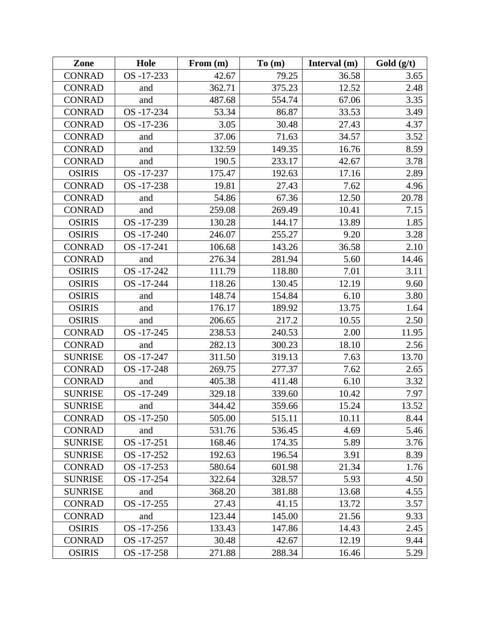| Zone           | Hole           | From $(m)$ | To(m)  | Interval $(m)$ | Gold (g/t) |
|----------------|----------------|------------|--------|----------------|------------|
| <b>CONRAD</b>  | OS-17-233      | 42.67      | 79.25  | 36.58          | 3.65       |
| <b>CONRAD</b>  | and            | 362.71     | 375.23 | 12.52          | 2.48       |
| <b>CONRAD</b>  | and            | 487.68     | 554.74 | 67.06          | 3.35       |
| <b>CONRAD</b>  | OS-17-234      | 53.34      | 86.87  | 33.53          | 3.49       |
| <b>CONRAD</b>  | OS -17-236     | 3.05       | 30.48  | 27.43          | 4.37       |
| <b>CONRAD</b>  | and            | 37.06      | 71.63  | 34.57          | 3.52       |
| <b>CONRAD</b>  | and            | 132.59     | 149.35 | 16.76          | 8.59       |
| <b>CONRAD</b>  | and            | 190.5      | 233.17 | 42.67          | 3.78       |
| <b>OSIRIS</b>  | OS-17-237      | 175.47     | 192.63 | 17.16          | 2.89       |
| <b>CONRAD</b>  | OS -17-238     | 19.81      | 27.43  | 7.62           | 4.96       |
| <b>CONRAD</b>  | and            | 54.86      | 67.36  | 12.50          | 20.78      |
| <b>CONRAD</b>  | and            | 259.08     | 269.49 | 10.41          | 7.15       |
| <b>OSIRIS</b>  | OS-17-239      | 130.28     | 144.17 | 13.89          | 1.85       |
| <b>OSIRIS</b>  | OS-17-240      | 246.07     | 255.27 | 9.20           | 3.28       |
| <b>CONRAD</b>  | OS -17-241     | 106.68     | 143.26 | 36.58          | 2.10       |
| <b>CONRAD</b>  | and            | 276.34     | 281.94 | 5.60           | 14.46      |
| <b>OSIRIS</b>  | OS-17-242      | 111.79     | 118.80 | 7.01           | 3.11       |
| <b>OSIRIS</b>  | OS-17-244      | 118.26     | 130.45 | 12.19          | 9.60       |
| <b>OSIRIS</b>  | and            | 148.74     | 154.84 | 6.10           | 3.80       |
| <b>OSIRIS</b>  | and            | 176.17     | 189.92 | 13.75          | 1.64       |
| <b>OSIRIS</b>  | and            | 206.65     | 217.2  | 10.55          | 2.50       |
| <b>CONRAD</b>  | OS -17-245     | 238.53     | 240.53 | 2.00           | 11.95      |
| <b>CONRAD</b>  | and            | 282.13     | 300.23 | 18.10          | 2.56       |
| <b>SUNRISE</b> | OS-17-247      | 311.50     | 319.13 | 7.63           | 13.70      |
| <b>CONRAD</b>  | OS-17-248      | 269.75     | 277.37 | 7.62           | 2.65       |
| <b>CONRAD</b>  | and            | 405.38     | 411.48 | 6.10           | 3.32       |
| <b>SUNRISE</b> | OS-17-249      | 329.18     | 339.60 | 10.42          | 7.97       |
| <b>SUNRISE</b> | and            | 344.42     | 359.66 | 15.24          | 13.52      |
| <b>CONRAD</b>  | OS-17-250      | 505.00     | 515.11 | 10.11          | 8.44       |
| <b>CONRAD</b>  | and            | 531.76     | 536.45 | 4.69           | 5.46       |
| <b>SUNRISE</b> | OS-17-251      | 168.46     | 174.35 | 5.89           | 3.76       |
| <b>SUNRISE</b> | OS -17-252     | 192.63     | 196.54 | 3.91           | 8.39       |
| <b>CONRAD</b>  | $OS -17 - 253$ | 580.64     | 601.98 | 21.34          | 1.76       |
| <b>SUNRISE</b> | OS -17-254     | 322.64     | 328.57 | 5.93           | 4.50       |
| <b>SUNRISE</b> | and            | 368.20     | 381.88 | 13.68          | 4.55       |
| <b>CONRAD</b>  | OS-17-255      | 27.43      | 41.15  | 13.72          | 3.57       |
| <b>CONRAD</b>  | and            | 123.44     | 145.00 | 21.56          | 9.33       |
| <b>OSIRIS</b>  | OS-17-256      | 133.43     | 147.86 | 14.43          | 2.45       |
| <b>CONRAD</b>  | OS -17-257     | 30.48      | 42.67  | 12.19          | 9.44       |
| <b>OSIRIS</b>  | OS -17-258     | 271.88     | 288.34 | 16.46          | 5.29       |